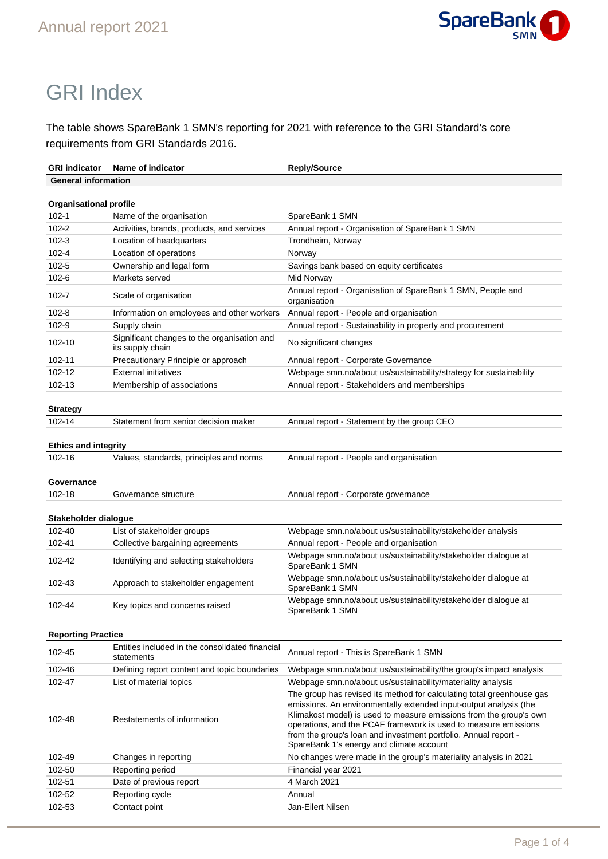

# GRI Index

The table shows SpareBank 1 SMN's reporting for 2021 with reference to the GRI Standard's core requirements from GRI Standards 2016.

| <b>GRI indicator</b>          | Name of indicator                                               | <b>Reply/Source</b>                                                                                                                                                                                                                                                                                                                                                                                |  |
|-------------------------------|-----------------------------------------------------------------|----------------------------------------------------------------------------------------------------------------------------------------------------------------------------------------------------------------------------------------------------------------------------------------------------------------------------------------------------------------------------------------------------|--|
| <b>General information</b>    |                                                                 |                                                                                                                                                                                                                                                                                                                                                                                                    |  |
|                               |                                                                 |                                                                                                                                                                                                                                                                                                                                                                                                    |  |
| <b>Organisational profile</b> |                                                                 |                                                                                                                                                                                                                                                                                                                                                                                                    |  |
| $102 - 1$                     | Name of the organisation                                        | SpareBank 1 SMN                                                                                                                                                                                                                                                                                                                                                                                    |  |
| $102 - 2$                     | Activities, brands, products, and services                      | Annual report - Organisation of SpareBank 1 SMN                                                                                                                                                                                                                                                                                                                                                    |  |
| $102 - 3$                     | Location of headquarters                                        | Trondheim, Norway                                                                                                                                                                                                                                                                                                                                                                                  |  |
| $102 - 4$                     | Location of operations                                          | Norway                                                                                                                                                                                                                                                                                                                                                                                             |  |
| $102 - 5$                     | Ownership and legal form                                        | Savings bank based on equity certificates                                                                                                                                                                                                                                                                                                                                                          |  |
| $102 - 6$                     | Markets served                                                  | Mid Norway                                                                                                                                                                                                                                                                                                                                                                                         |  |
| 102-7                         | Scale of organisation                                           | Annual report - Organisation of SpareBank 1 SMN, People and<br>organisation                                                                                                                                                                                                                                                                                                                        |  |
| $102 - 8$                     | Information on employees and other workers                      | Annual report - People and organisation                                                                                                                                                                                                                                                                                                                                                            |  |
| 102-9                         | Supply chain                                                    | Annual report - Sustainability in property and procurement                                                                                                                                                                                                                                                                                                                                         |  |
| 102-10                        | Significant changes to the organisation and<br>its supply chain | No significant changes                                                                                                                                                                                                                                                                                                                                                                             |  |
| 102-11                        | Precautionary Principle or approach                             | Annual report - Corporate Governance                                                                                                                                                                                                                                                                                                                                                               |  |
| 102-12                        | <b>External initiatives</b>                                     | Webpage smn.no/about us/sustainability/strategy for sustainability                                                                                                                                                                                                                                                                                                                                 |  |
| 102-13                        | Membership of associations                                      | Annual report - Stakeholders and memberships                                                                                                                                                                                                                                                                                                                                                       |  |
|                               |                                                                 |                                                                                                                                                                                                                                                                                                                                                                                                    |  |
| <b>Strategy</b>               |                                                                 |                                                                                                                                                                                                                                                                                                                                                                                                    |  |
| 102-14                        | Statement from senior decision maker                            | Annual report - Statement by the group CEO                                                                                                                                                                                                                                                                                                                                                         |  |
|                               |                                                                 |                                                                                                                                                                                                                                                                                                                                                                                                    |  |
| <b>Ethics and integrity</b>   |                                                                 |                                                                                                                                                                                                                                                                                                                                                                                                    |  |
| 102-16                        | Values, standards, principles and norms                         | Annual report - People and organisation                                                                                                                                                                                                                                                                                                                                                            |  |
|                               |                                                                 |                                                                                                                                                                                                                                                                                                                                                                                                    |  |
| Governance<br>102-18          | Governance structure                                            |                                                                                                                                                                                                                                                                                                                                                                                                    |  |
|                               |                                                                 | Annual report - Corporate governance                                                                                                                                                                                                                                                                                                                                                               |  |
| Stakeholder dialogue          |                                                                 |                                                                                                                                                                                                                                                                                                                                                                                                    |  |
| 102-40                        | List of stakeholder groups                                      | Webpage smn.no/about us/sustainability/stakeholder analysis                                                                                                                                                                                                                                                                                                                                        |  |
| 102-41                        | Collective bargaining agreements                                | Annual report - People and organisation                                                                                                                                                                                                                                                                                                                                                            |  |
| 102-42                        | Identifying and selecting stakeholders                          | Webpage smn.no/about us/sustainability/stakeholder dialogue at<br>SpareBank 1 SMN                                                                                                                                                                                                                                                                                                                  |  |
| 102-43                        | Approach to stakeholder engagement                              | Webpage smn.no/about us/sustainability/stakeholder dialogue at<br>SpareBank 1 SMN                                                                                                                                                                                                                                                                                                                  |  |
| 102-44                        | Key topics and concerns raised                                  | Webpage smn.no/about us/sustainability/stakeholder dialogue at<br>SpareBank 1 SMN                                                                                                                                                                                                                                                                                                                  |  |
|                               |                                                                 |                                                                                                                                                                                                                                                                                                                                                                                                    |  |
| <b>Reporting Practice</b>     |                                                                 |                                                                                                                                                                                                                                                                                                                                                                                                    |  |
| 102-45                        | Entities included in the consolidated financial<br>statements   | Annual report - This is SpareBank 1 SMN                                                                                                                                                                                                                                                                                                                                                            |  |
| 102-46                        | Defining report content and topic boundaries                    | Webpage smn.no/about us/sustainability/the group's impact analysis                                                                                                                                                                                                                                                                                                                                 |  |
| 102-47                        | List of material topics                                         | Webpage smn.no/about us/sustainability/materiality analysis                                                                                                                                                                                                                                                                                                                                        |  |
| 102-48                        | Restatements of information                                     | The group has revised its method for calculating total greenhouse gas<br>emissions. An environmentally extended input-output analysis (the<br>Klimakost model) is used to measure emissions from the group's own<br>operations, and the PCAF framework is used to measure emissions<br>from the group's loan and investment portfolio. Annual report -<br>SpareBank 1's energy and climate account |  |
| 102-49                        | Changes in reporting                                            | No changes were made in the group's materiality analysis in 2021                                                                                                                                                                                                                                                                                                                                   |  |
| 102-50                        | Reporting period                                                | Financial year 2021                                                                                                                                                                                                                                                                                                                                                                                |  |
| 102-51                        | Date of previous report                                         | 4 March 2021                                                                                                                                                                                                                                                                                                                                                                                       |  |
| 102-52                        |                                                                 |                                                                                                                                                                                                                                                                                                                                                                                                    |  |
|                               | Reporting cycle                                                 | Annual                                                                                                                                                                                                                                                                                                                                                                                             |  |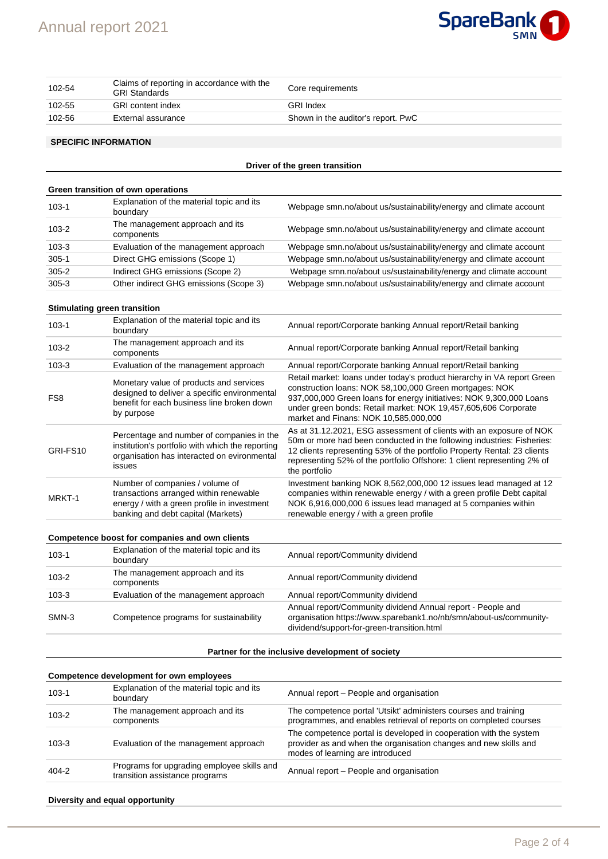

| 102-54 | Claims of reporting in accordance with the<br><b>GRI Standards</b> | Core requirements                  |
|--------|--------------------------------------------------------------------|------------------------------------|
| 102-55 | GRI content index                                                  | GRI Index                          |
| 102-56 | External assurance                                                 | Shown in the auditor's report. PwC |

#### **SPECIFIC INFORMATION**

#### **Driver of the green transition**

| Green transition of own operations |                                                       |                                                                   |
|------------------------------------|-------------------------------------------------------|-------------------------------------------------------------------|
| $103 - 1$                          | Explanation of the material topic and its<br>boundary | Webpage smn.no/about us/sustainability/energy and climate account |
| $103 - 2$                          | The management approach and its<br>components         | Webpage smn.no/about us/sustainability/energy and climate account |
| $103 - 3$                          | Evaluation of the management approach                 | Webpage smn.no/about us/sustainability/energy and climate account |
| $305 - 1$                          | Direct GHG emissions (Scope 1)                        | Webpage smn.no/about us/sustainability/energy and climate account |
| $305 - 2$                          | Indirect GHG emissions (Scope 2)                      | Webpage smn.no/about us/sustainability/energy and climate account |
| $305 - 3$                          | Other indirect GHG emissions (Scope 3)                | Webpage smn.no/about us/sustainability/energy and climate account |

#### **Stimulating green transition**

| $103 - 1$                                      | Explanation of the material topic and its<br>boundary                                                                                                          | Annual report/Corporate banking Annual report/Retail banking                                                                                                                                                                                                                                                          |
|------------------------------------------------|----------------------------------------------------------------------------------------------------------------------------------------------------------------|-----------------------------------------------------------------------------------------------------------------------------------------------------------------------------------------------------------------------------------------------------------------------------------------------------------------------|
| $103 - 2$                                      | The management approach and its<br>components                                                                                                                  | Annual report/Corporate banking Annual report/Retail banking                                                                                                                                                                                                                                                          |
| $103 - 3$                                      | Evaluation of the management approach                                                                                                                          | Annual report/Corporate banking Annual report/Retail banking                                                                                                                                                                                                                                                          |
| FS <sub>8</sub>                                | Monetary value of products and services<br>designed to deliver a specific environmental<br>benefit for each business line broken down<br>by purpose            | Retail market: Ioans under today's product hierarchy in VA report Green<br>construction loans: NOK 58,100,000 Green mortgages: NOK<br>937,000,000 Green loans for energy initiatives: NOK 9,300,000 Loans<br>under green bonds: Retail market: NOK 19,457,605,606 Corporate<br>market and Finans: NOK 10,585,000,000  |
| GRI-FS10                                       | Percentage and number of companies in the<br>institution's portfolio with which the reporting<br>organisation has interacted on evironmental<br>issues         | As at 31.12.2021, ESG assessment of clients with an exposure of NOK<br>50m or more had been conducted in the following industries: Fisheries:<br>12 clients representing 53% of the portfolio Property Rental: 23 clients<br>representing 52% of the portfolio Offshore: 1 client representing 2% of<br>the portfolio |
| MRKT-1                                         | Number of companies / volume of<br>transactions arranged within renewable<br>energy / with a green profile in investment<br>banking and debt capital (Markets) | Investment banking NOK 8,562,000,000 12 issues lead managed at 12<br>companies within renewable energy / with a green profile Debt capital<br>NOK 6,916,000,000 6 issues lead managed at 5 companies within<br>renewable energy / with a green profile                                                                |
| Competence boost for companies and own clients |                                                                                                                                                                |                                                                                                                                                                                                                                                                                                                       |
| $103 - 1$                                      | Explanation of the material topic and its<br>boundary                                                                                                          | Annual report/Community dividend                                                                                                                                                                                                                                                                                      |
|                                                |                                                                                                                                                                |                                                                                                                                                                                                                                                                                                                       |

| $103 - 2$ | The management approach and its<br>components | Annual report/Community dividend                                                                                                                                               |
|-----------|-----------------------------------------------|--------------------------------------------------------------------------------------------------------------------------------------------------------------------------------|
| $103 - 3$ | Evaluation of the management approach         | Annual report/Community dividend                                                                                                                                               |
| SMN-3     | Competence programs for sustainability        | Annual report/Community dividend Annual report - People and<br>organisation https://www.sparebank1.no/nb/smn/about-us/community-<br>dividend/support-for-green-transition.html |

#### **Partner for the inclusive development of society**

#### **Competence development for own employees** 103-1 Explanation of the material topic and its Annual report – People and organisation 103-2 The management approach and its components The competence portal 'Utsikt' administers courses and training programmes, and enables retrieval of reports on completed courses 103-3 Evaluation of the management approach The competence portal is developed in cooperation with the system provider as and when the organisation changes and new skills and modes of learning are introduced 404-2 Programs for upgrading employee skills and Annual report – People and organisation

#### **Diversity and equal opportunity**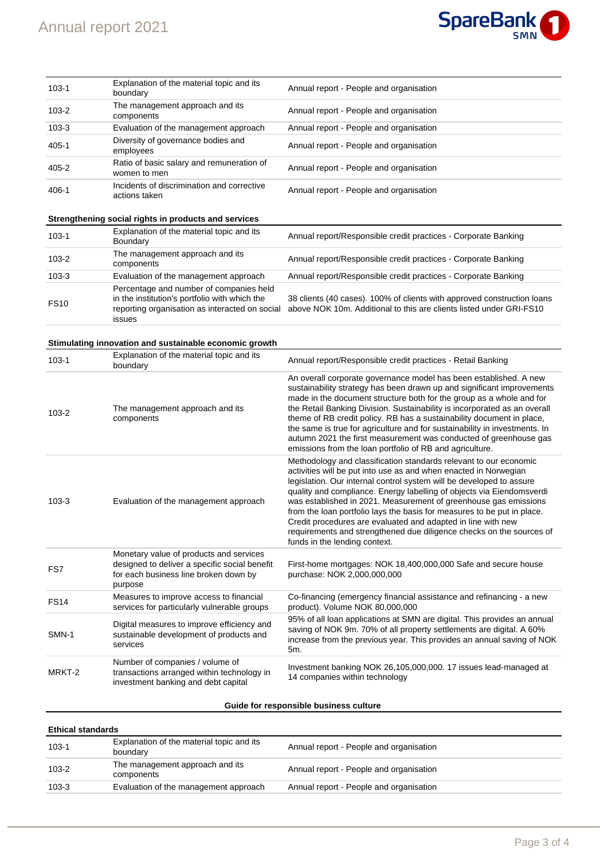# Annual report 2021



| $103 - 1$ | Explanation of the material topic and its<br>boundary       | Annual report - People and organisation |
|-----------|-------------------------------------------------------------|-----------------------------------------|
| $103 - 2$ | The management approach and its<br>components               | Annual report - People and organisation |
| $103 - 3$ | Evaluation of the management approach                       | Annual report - People and organisation |
| $405 - 1$ | Diversity of governance bodies and<br>employees             | Annual report - People and organisation |
| $405 - 2$ | Ratio of basic salary and remuneration of<br>women to men   | Annual report - People and organisation |
| 406-1     | Incidents of discrimination and corrective<br>actions taken | Annual report - People and organisation |

# **Strengthening social rights in products and services**

| $103 - 1$   | Explanation of the material topic and its<br>Boundary                                                                                                | Annual report/Responsible credit practices - Corporate Banking                                                                                 |
|-------------|------------------------------------------------------------------------------------------------------------------------------------------------------|------------------------------------------------------------------------------------------------------------------------------------------------|
| $103 - 2$   | The management approach and its<br>components                                                                                                        | Annual report/Responsible credit practices - Corporate Banking                                                                                 |
| $103 - 3$   | Evaluation of the management approach                                                                                                                | Annual report/Responsible credit practices - Corporate Banking                                                                                 |
| <b>FS10</b> | Percentage and number of companies held<br>in the institution's portfolio with which the<br>reporting organisation as interacted on social<br>issues | 38 clients (40 cases). 100% of clients with approved construction loans<br>above NOK 10m. Additional to this are clients listed under GRI-FS10 |

# **Stimulating innovation and sustainable economic growth**

| $103 - 1$   | Explanation of the material topic and its<br>boundary                                                                                        | Annual report/Responsible credit practices - Retail Banking                                                                                                                                                                                                                                                                                                                                                                                                                                                                                                                                                    |
|-------------|----------------------------------------------------------------------------------------------------------------------------------------------|----------------------------------------------------------------------------------------------------------------------------------------------------------------------------------------------------------------------------------------------------------------------------------------------------------------------------------------------------------------------------------------------------------------------------------------------------------------------------------------------------------------------------------------------------------------------------------------------------------------|
| $103 - 2$   | The management approach and its<br>components                                                                                                | An overall corporate governance model has been established. A new<br>sustainability strategy has been drawn up and significant improvements<br>made in the document structure both for the group as a whole and for<br>the Retail Banking Division. Sustainability is incorporated as an overall<br>theme of RB credit policy. RB has a sustainability document in place,<br>the same is true for agriculture and for sustainability in investments. In<br>autumn 2021 the first measurement was conducted of greenhouse gas<br>emissions from the loan portfolio of RB and agriculture.                       |
| $103 - 3$   | Evaluation of the management approach                                                                                                        | Methodology and classification standards relevant to our economic<br>activities will be put into use as and when enacted in Norwegian<br>legislation. Our internal control system will be developed to assure<br>quality and compliance. Energy labelling of objects via Eiendomsverdi<br>was established in 2021. Measurement of greenhouse gas emissions<br>from the loan portfolio lays the basis for measures to be put in place.<br>Credit procedures are evaluated and adapted in line with new<br>requirements and strengthened due diligence checks on the sources of<br>funds in the lending context. |
| FS7         | Monetary value of products and services<br>designed to deliver a specific social benefit<br>for each business line broken down by<br>purpose | First-home mortgages: NOK 18,400,000,000 Safe and secure house<br>purchase: NOK 2,000,000,000                                                                                                                                                                                                                                                                                                                                                                                                                                                                                                                  |
| <b>FS14</b> | Measures to improve access to financial<br>services for particularly vulnerable groups                                                       | Co-financing (emergency financial assistance and refinancing - a new<br>product). Volume NOK 80,000,000                                                                                                                                                                                                                                                                                                                                                                                                                                                                                                        |
| SMN-1       | Digital measures to improve efficiency and<br>sustainable development of products and<br>services                                            | 95% of all loan applications at SMN are digital. This provides an annual<br>saving of NOK 9m. 70% of all property settlements are digital. A 60%<br>increase from the previous year. This provides an annual saving of NOK<br>5m.                                                                                                                                                                                                                                                                                                                                                                              |
| MRKT-2      | Number of companies / volume of<br>transactions arranged within technology in<br>investment banking and debt capital                         | Investment banking NOK 26,105,000,000. 17 issues lead-managed at<br>14 companies within technology                                                                                                                                                                                                                                                                                                                                                                                                                                                                                                             |

# **Guide for responsible business culture**

| <b>Ethical standards</b> |                                                       |                                         |
|--------------------------|-------------------------------------------------------|-----------------------------------------|
| $103 - 1$                | Explanation of the material topic and its<br>boundary | Annual report - People and organisation |
| $103 - 2$                | The management approach and its<br>components         | Annual report - People and organisation |
| $103 - 3$                | Evaluation of the management approach                 | Annual report - People and organisation |